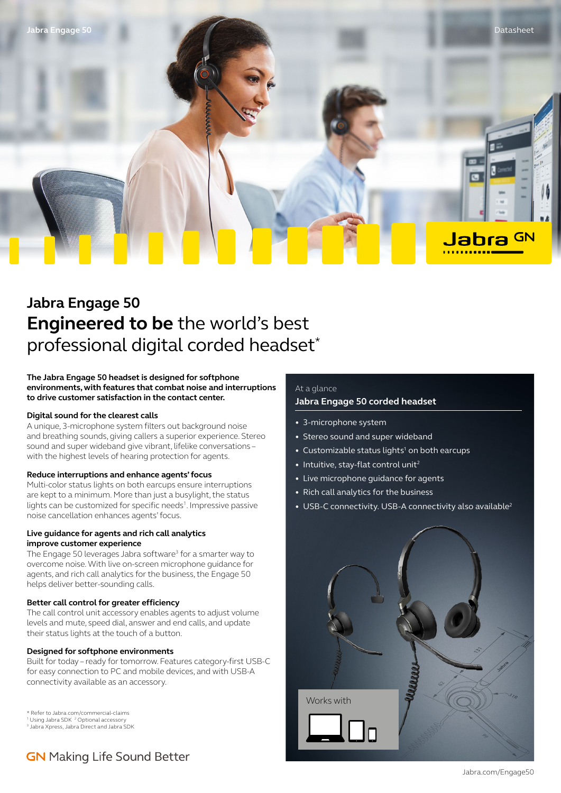

# **Jabra Engage 50 Engineered to be** the world's best professional digital corded headset\*

**The Jabra Engage 50 headset is designed for softphone environments, with features that combat noise and interruptions to drive customer satisfaction in the contact center.**

### **Digital sound for the clearest calls**

A unique, 3-microphone system filters out background noise and breathing sounds, giving callers a superior experience. Stereo sound and super wideband give vibrant, lifelike conversations – with the highest levels of hearing protection for agents.

### **Reduce interruptions and enhance agents' focus**

Multi-color status lights on both earcups ensure interruptions are kept to a minimum. More than just a busylight, the status lights can be customized for specific needs<sup>1</sup>. Impressive passive noise cancellation enhances agents' focus.

### **Live guidance for agents and rich call analytics improve customer experience**

The Engage 50 leverages Jabra software<sup>3</sup> for a smarter way to overcome noise. With live on-screen microphone guidance for agents, and rich call analytics for the business, the Engage 50 helps deliver better-sounding calls.

### **Better call control for greater efficiency**

The call control unit accessory enables agents to adjust volume levels and mute, speed dial, answer and end calls, and update their status lights at the touch of a button.

### **Designed for softphone environments**

Built for today – ready for tomorrow. Features category-first USB-C for easy connection to PC and mobile devices, and with USB-A connectivity available as an accessory.

\* Refer to Jabra.com/commercial-claims 1 Using Jabra SDK 2 Optional accessory

3 Jabra Xpress, Jabra Direct and Jabra SDK

## **GN** Making Life Sound Better

### At a glance

### **Jabra Engage 50 corded headset**

- 3-microphone system
- Stereo sound and super wideband
- Customizable status lights<sup>1</sup> on both earcups
- Intuitive, stay-flat control unit<sup>2</sup>
- Live microphone guidance for agents
- Rich call analytics for the business
- USB-C connectivity. USB-A connectivity also available<sup>2</sup>